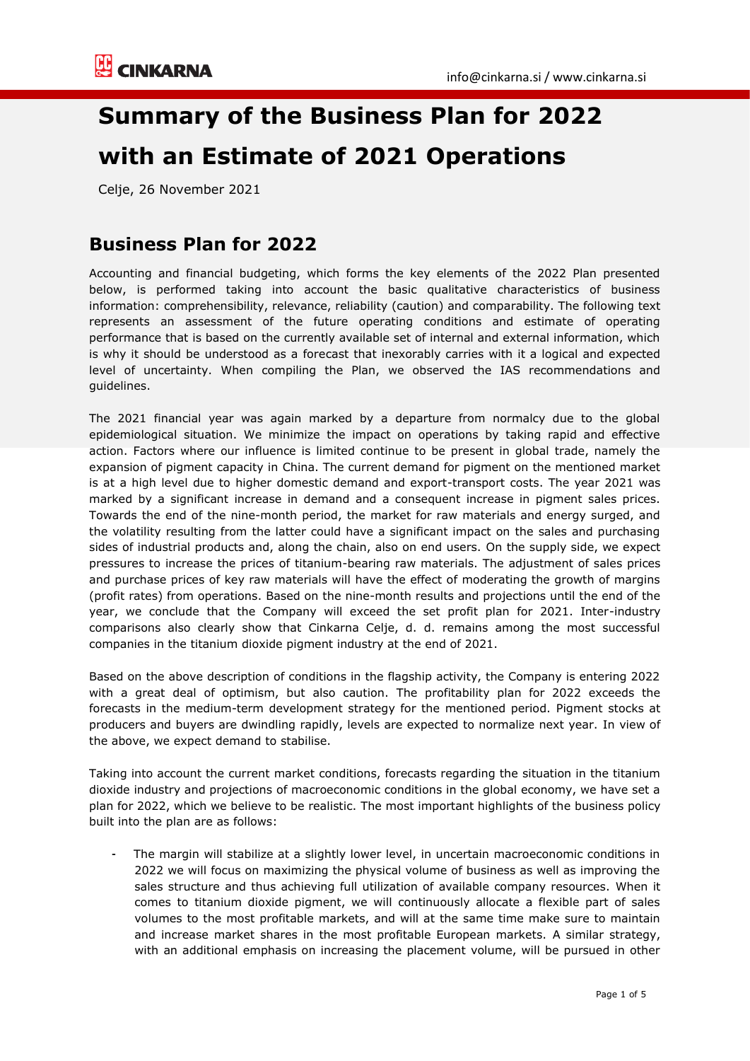# **Summary of the Business Plan for 2022 with an Estimate of 2021 Operations**

Celje, 26 November 2021

## **Business Plan for 2022**

Accounting and financial budgeting, which forms the key elements of the 2022 Plan presented below, is performed taking into account the basic qualitative characteristics of business information: comprehensibility, relevance, reliability (caution) and comparability. The following text represents an assessment of the future operating conditions and estimate of operating performance that is based on the currently available set of internal and external information, which is why it should be understood as a forecast that inexorably carries with it a logical and expected level of uncertainty. When compiling the Plan, we observed the IAS recommendations and guidelines.

The 2021 financial year was again marked by a departure from normalcy due to the global epidemiological situation. We minimize the impact on operations by taking rapid and effective action. Factors where our influence is limited continue to be present in global trade, namely the expansion of pigment capacity in China. The current demand for pigment on the mentioned market is at a high level due to higher domestic demand and export-transport costs. The year 2021 was marked by a significant increase in demand and a consequent increase in pigment sales prices. Towards the end of the nine-month period, the market for raw materials and energy surged, and the volatility resulting from the latter could have a significant impact on the sales and purchasing sides of industrial products and, along the chain, also on end users. On the supply side, we expect pressures to increase the prices of titanium-bearing raw materials. The adjustment of sales prices and purchase prices of key raw materials will have the effect of moderating the growth of margins (profit rates) from operations. Based on the nine-month results and projections until the end of the year, we conclude that the Company will exceed the set profit plan for 2021. Inter-industry comparisons also clearly show that Cinkarna Celje, d. d. remains among the most successful companies in the titanium dioxide pigment industry at the end of 2021.

Based on the above description of conditions in the flagship activity, the Company is entering 2022 with a great deal of optimism, but also caution. The profitability plan for 2022 exceeds the forecasts in the medium-term development strategy for the mentioned period. Pigment stocks at producers and buyers are dwindling rapidly, levels are expected to normalize next year. In view of the above, we expect demand to stabilise.

Taking into account the current market conditions, forecasts regarding the situation in the titanium dioxide industry and projections of macroeconomic conditions in the global economy, we have set a plan for 2022, which we believe to be realistic. The most important highlights of the business policy built into the plan are as follows:

The margin will stabilize at a slightly lower level, in uncertain macroeconomic conditions in 2022 we will focus on maximizing the physical volume of business as well as improving the sales structure and thus achieving full utilization of available company resources. When it comes to titanium dioxide pigment, we will continuously allocate a flexible part of sales volumes to the most profitable markets, and will at the same time make sure to maintain and increase market shares in the most profitable European markets. A similar strategy, with an additional emphasis on increasing the placement volume, will be pursued in other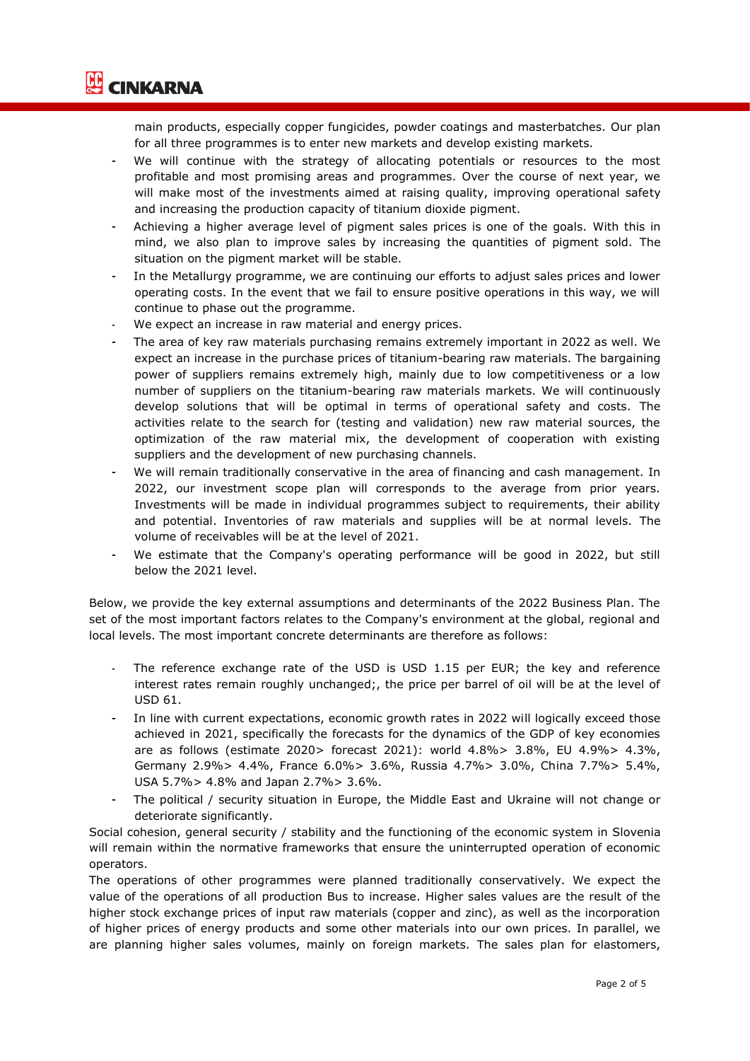

main products, especially copper fungicides, powder coatings and masterbatches. Our plan for all three programmes is to enter new markets and develop existing markets.

- We will continue with the strategy of allocating potentials or resources to the most profitable and most promising areas and programmes. Over the course of next year, we will make most of the investments aimed at raising quality, improving operational safety and increasing the production capacity of titanium dioxide pigment.
- Achieving a higher average level of pigment sales prices is one of the goals. With this in mind, we also plan to improve sales by increasing the quantities of pigment sold. The situation on the pigment market will be stable.
- In the Metallurgy programme, we are continuing our efforts to adjust sales prices and lower operating costs. In the event that we fail to ensure positive operations in this way, we will continue to phase out the programme.
- We expect an increase in raw material and energy prices.
- The area of key raw materials purchasing remains extremely important in 2022 as well. We expect an increase in the purchase prices of titanium-bearing raw materials. The bargaining power of suppliers remains extremely high, mainly due to low competitiveness or a low number of suppliers on the titanium-bearing raw materials markets. We will continuously develop solutions that will be optimal in terms of operational safety and costs. The activities relate to the search for (testing and validation) new raw material sources, the optimization of the raw material mix, the development of cooperation with existing suppliers and the development of new purchasing channels.
- We will remain traditionally conservative in the area of financing and cash management. In 2022, our investment scope plan will corresponds to the average from prior years. Investments will be made in individual programmes subject to requirements, their ability and potential. Inventories of raw materials and supplies will be at normal levels. The volume of receivables will be at the level of 2021.
- We estimate that the Company's operating performance will be good in 2022, but still below the 2021 level.

Below, we provide the key external assumptions and determinants of the 2022 Business Plan. The set of the most important factors relates to the Company's environment at the global, regional and local levels. The most important concrete determinants are therefore as follows:

- The reference exchange rate of the USD is USD 1.15 per EUR; the key and reference interest rates remain roughly unchanged;, the price per barrel of oil will be at the level of USD 61.
- In line with current expectations, economic growth rates in 2022 will logically exceed those achieved in 2021, specifically the forecasts for the dynamics of the GDP of key economies are as follows (estimate 2020> forecast 2021): world 4.8%> 3.8%, EU 4.9%> 4.3%, Germany 2.9%> 4.4%, France 6.0%> 3.6%, Russia 4.7%> 3.0%, China 7.7%> 5.4%, USA 5.7%> 4.8% and Japan 2.7%> 3.6%.
- The political / security situation in Europe, the Middle East and Ukraine will not change or deteriorate significantly.

Social cohesion, general security / stability and the functioning of the economic system in Slovenia will remain within the normative frameworks that ensure the uninterrupted operation of economic operators.

The operations of other programmes were planned traditionally conservatively. We expect the value of the operations of all production Bus to increase. Higher sales values are the result of the higher stock exchange prices of input raw materials (copper and zinc), as well as the incorporation of higher prices of energy products and some other materials into our own prices. In parallel, we are planning higher sales volumes, mainly on foreign markets. The sales plan for elastomers,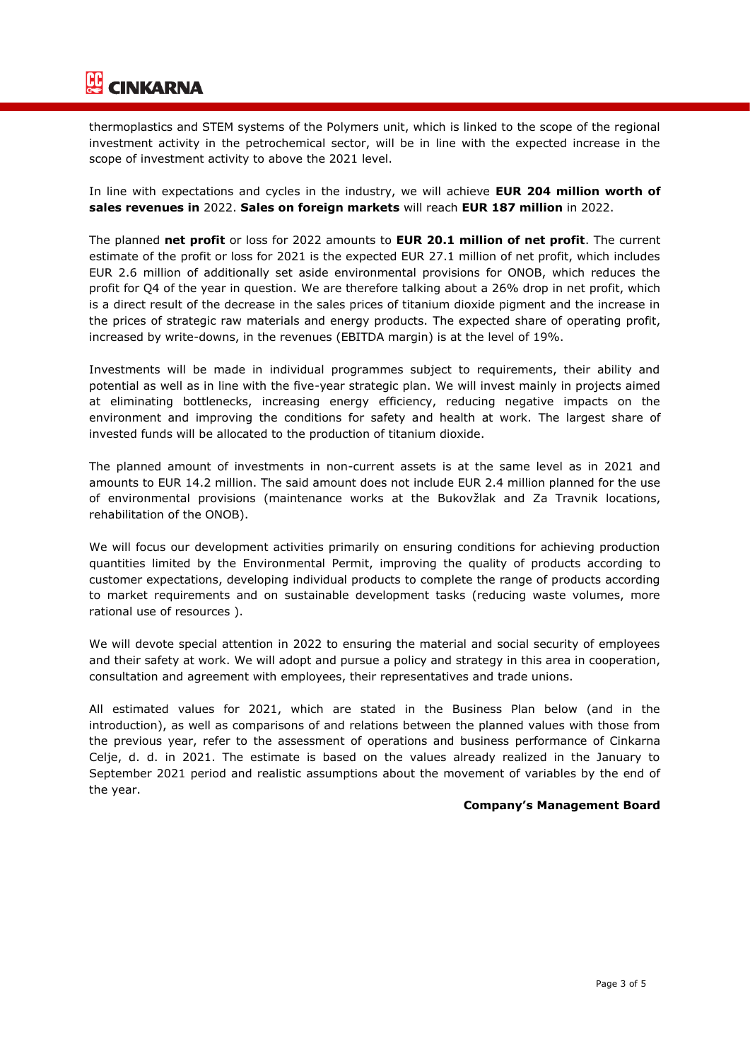

thermoplastics and STEM systems of the Polymers unit, which is linked to the scope of the regional investment activity in the petrochemical sector, will be in line with the expected increase in the scope of investment activity to above the 2021 level.

In line with expectations and cycles in the industry, we will achieve **EUR 204 million worth of sales revenues in** 2022. **Sales on foreign markets** will reach **EUR 187 million** in 2022.

The planned **net profit** or loss for 2022 amounts to **EUR 20.1 million of net profit**. The current estimate of the profit or loss for 2021 is the expected EUR 27.1 million of net profit, which includes EUR 2.6 million of additionally set aside environmental provisions for ONOB, which reduces the profit for Q4 of the year in question. We are therefore talking about a 26% drop in net profit, which is a direct result of the decrease in the sales prices of titanium dioxide pigment and the increase in the prices of strategic raw materials and energy products. The expected share of operating profit, increased by write-downs, in the revenues (EBITDA margin) is at the level of 19%.

Investments will be made in individual programmes subject to requirements, their ability and potential as well as in line with the five-year strategic plan. We will invest mainly in projects aimed at eliminating bottlenecks, increasing energy efficiency, reducing negative impacts on the environment and improving the conditions for safety and health at work. The largest share of invested funds will be allocated to the production of titanium dioxide.

The planned amount of investments in non-current assets is at the same level as in 2021 and amounts to EUR 14.2 million. The said amount does not include EUR 2.4 million planned for the use of environmental provisions (maintenance works at the Bukovžlak and Za Travnik locations, rehabilitation of the ONOB).

We will focus our development activities primarily on ensuring conditions for achieving production quantities limited by the Environmental Permit, improving the quality of products according to customer expectations, developing individual products to complete the range of products according to market requirements and on sustainable development tasks (reducing waste volumes, more rational use of resources ).

We will devote special attention in 2022 to ensuring the material and social security of employees and their safety at work. We will adopt and pursue a policy and strategy in this area in cooperation, consultation and agreement with employees, their representatives and trade unions.

All estimated values for 2021, which are stated in the Business Plan below (and in the introduction), as well as comparisons of and relations between the planned values with those from the previous year, refer to the assessment of operations and business performance of Cinkarna Celje, d. d. in 2021. The estimate is based on the values already realized in the January to September 2021 period and realistic assumptions about the movement of variables by the end of the year.

#### **Company's Management Board**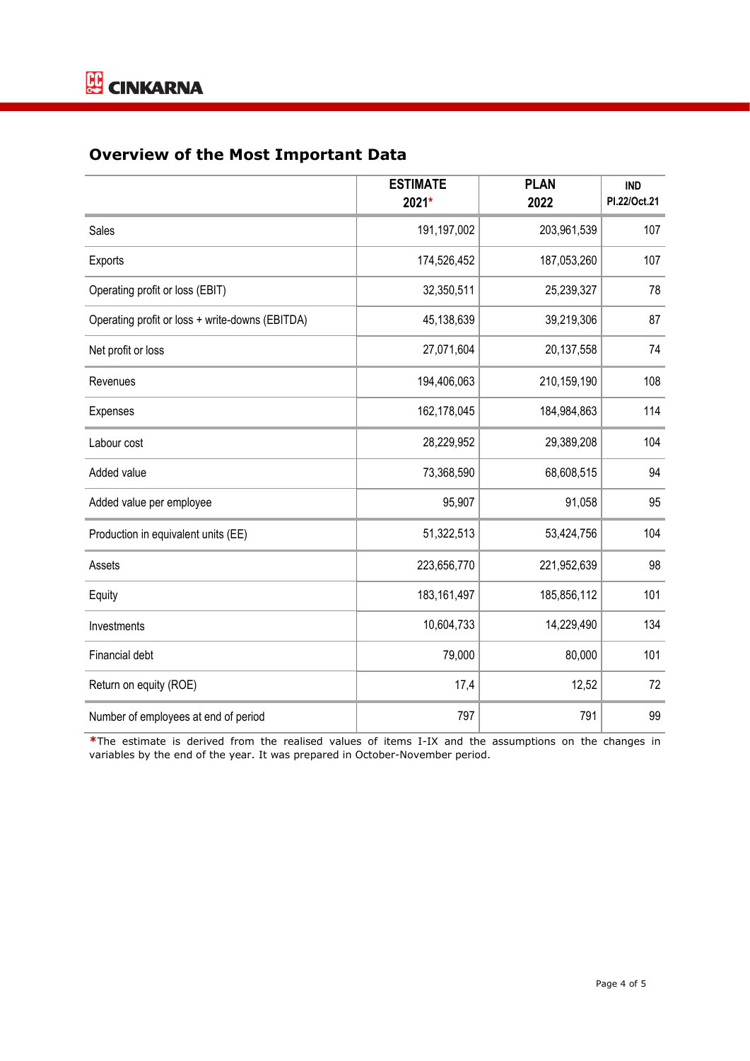### **Overview of the Most Important Data**

|                                                 | <b>ESTIMATE</b><br>2021* | <b>PLAN</b><br>2022 | <b>IND</b><br>PI.22/Oct.21 |
|-------------------------------------------------|--------------------------|---------------------|----------------------------|
| Sales                                           | 191,197,002              | 203,961,539         | 107                        |
| Exports                                         | 174,526,452              | 187,053,260         | 107                        |
| Operating profit or loss (EBIT)                 | 32,350,511               | 25,239,327          | 78                         |
| Operating profit or loss + write-downs (EBITDA) | 45,138,639               | 39,219,306          | 87                         |
| Net profit or loss                              | 27,071,604               | 20,137,558          | 74                         |
| Revenues                                        | 194,406,063              | 210,159,190         | 108                        |
| Expenses                                        | 162,178,045              | 184,984,863         | 114                        |
| Labour cost                                     | 28,229,952               | 29,389,208          | 104                        |
| Added value                                     | 73,368,590               | 68,608,515          | 94                         |
| Added value per employee                        | 95,907                   | 91,058              | 95                         |
| Production in equivalent units (EE)             | 51,322,513               | 53,424,756          | 104                        |
| Assets                                          | 223,656,770              | 221,952,639         | 98                         |
| Equity                                          | 183, 161, 497            | 185,856,112         | 101                        |
| Investments                                     | 10,604,733               | 14,229,490          | 134                        |
| Financial debt                                  | 79,000                   | 80,000              | 101                        |
| Return on equity (ROE)                          | 17,4                     | 12,52               | 72                         |
| Number of employees at end of period            | 797                      | 791                 | 99                         |

**\***The estimate is derived from the realised values of items I-IX and the assumptions on the changes in variables by the end of the year. It was prepared in October-November period.